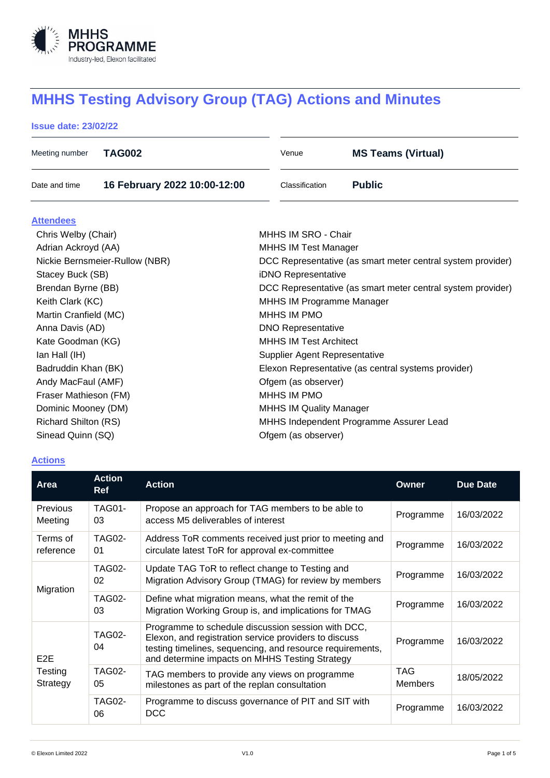

# **MHHS Testing Advisory Group (TAG) Actions and Minutes**

# **Issue date: 23/02/22**

| Meeting number | TAG002                       | Venue          | <b>MS Teams (Virtual)</b> |
|----------------|------------------------------|----------------|---------------------------|
| Date and time  | 16 February 2022 10:00-12:00 | Classification | <b>Public</b>             |

#### **Attendees**

| Chris Welby (Chair)            | MHHS IM SRO - Chair                                         |
|--------------------------------|-------------------------------------------------------------|
| Adrian Ackroyd (AA)            | <b>MHHS IM Test Manager</b>                                 |
| Nickie Bernsmeier-Rullow (NBR) | DCC Representative (as smart meter central system provider) |
| Stacey Buck (SB)               | iDNO Representative                                         |
| Brendan Byrne (BB)             | DCC Representative (as smart meter central system provider) |
| Keith Clark (KC)               | MHHS IM Programme Manager                                   |
| Martin Cranfield (MC)          | MHHS IM PMO                                                 |
| Anna Davis (AD)                | <b>DNO Representative</b>                                   |
| Kate Goodman (KG)              | <b>MHHS IM Test Architect</b>                               |
| lan Hall (IH)                  | Supplier Agent Representative                               |
| Badruddin Khan (BK)            | Elexon Representative (as central systems provider)         |
| Andy MacFaul (AMF)             | Ofgem (as observer)                                         |
| Fraser Mathieson (FM)          | MHHS IM PMO                                                 |
| Dominic Mooney (DM)            | <b>MHHS IM Quality Manager</b>                              |
| <b>Richard Shilton (RS)</b>    | MHHS Independent Programme Assurer Lead                     |
| Sinead Quinn (SQ)              | Ofgem (as observer)                                         |

# **Actions**

| Area                                    | <b>Action</b><br><b>Ref</b> | <b>Action</b>                                                                                                                                                                                                              | Owner                 | <b>Due Date</b> |
|-----------------------------------------|-----------------------------|----------------------------------------------------------------------------------------------------------------------------------------------------------------------------------------------------------------------------|-----------------------|-----------------|
| Previous<br>Meeting                     | <b>TAG01-</b><br>03         | Propose an approach for TAG members to be able to<br>access M5 deliverables of interest                                                                                                                                    | Programme             | 16/03/2022      |
| Terms of<br>reference                   | <b>TAG02-</b><br>01         | Address ToR comments received just prior to meeting and<br>circulate latest ToR for approval ex-committee                                                                                                                  | Programme             | 16/03/2022      |
| Migration                               | <b>TAG02-</b><br>02         | Update TAG ToR to reflect change to Testing and<br>Migration Advisory Group (TMAG) for review by members                                                                                                                   | Programme             | 16/03/2022      |
|                                         | <b>TAG02-</b><br>03         | Define what migration means, what the remit of the<br>Migration Working Group is, and implications for TMAG                                                                                                                | Programme             | 16/03/2022      |
| E <sub>2</sub> E<br>Testing<br>Strategy | <b>TAG02-</b><br>04         | Programme to schedule discussion session with DCC,<br>Elexon, and registration service providers to discuss<br>testing timelines, sequencing, and resource requirements,<br>and determine impacts on MHHS Testing Strategy | Programme             | 16/03/2022      |
|                                         | <b>TAG02-</b><br>05         | TAG members to provide any views on programme<br>milestones as part of the replan consultation                                                                                                                             | TAG<br><b>Members</b> | 18/05/2022      |
|                                         | <b>TAG02-</b><br>06         | Programme to discuss governance of PIT and SIT with<br><b>DCC</b>                                                                                                                                                          | Programme             | 16/03/2022      |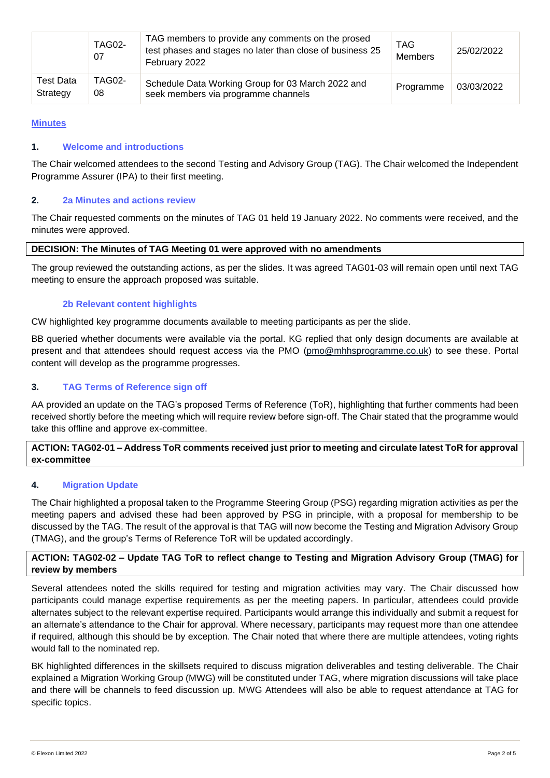|                       | <b>TAG02-</b><br>07 | TAG members to provide any comments on the prosed<br>test phases and stages no later than close of business 25<br>February 2022 | <b>TAG</b><br><b>Members</b> | 25/02/2022 |
|-----------------------|---------------------|---------------------------------------------------------------------------------------------------------------------------------|------------------------------|------------|
| Test Data<br>Strategy | <b>TAG02-</b><br>08 | Schedule Data Working Group for 03 March 2022 and<br>seek members via programme channels                                        | Programme                    | 03/03/2022 |

# **Minutes**

## **1. Welcome and introductions**

The Chair welcomed attendees to the second Testing and Advisory Group (TAG). The Chair welcomed the Independent Programme Assurer (IPA) to their first meeting.

# **2. 2a Minutes and actions review**

The Chair requested comments on the minutes of TAG 01 held 19 January 2022. No comments were received, and the minutes were approved.

## **DECISION: The Minutes of TAG Meeting 01 were approved with no amendments**

The group reviewed the outstanding actions, as per the slides. It was agreed TAG01-03 will remain open until next TAG meeting to ensure the approach proposed was suitable.

# **2b Relevant content highlights**

CW highlighted key programme documents available to meeting participants as per the slide.

BB queried whether documents were available via the portal. KG replied that only design documents are available at present and that attendees should request access via the PMO [\(pmo@mhhsprogramme.co.uk\)](mailto:pmo@mhhsprogramme.co.uk) to see these. Portal content will develop as the programme progresses.

# **3. TAG Terms of Reference sign off**

AA provided an update on the TAG's proposed Terms of Reference (ToR), highlighting that further comments had been received shortly before the meeting which will require review before sign-off. The Chair stated that the programme would take this offline and approve ex-committee.

# **ACTION: TAG02-01 – Address ToR comments received just prior to meeting and circulate latest ToR for approval ex-committee**

## **4. Migration Update**

The Chair highlighted a proposal taken to the Programme Steering Group (PSG) regarding migration activities as per the meeting papers and advised these had been approved by PSG in principle, with a proposal for membership to be discussed by the TAG. The result of the approval is that TAG will now become the Testing and Migration Advisory Group (TMAG), and the group's Terms of Reference ToR will be updated accordingly.

# **ACTION: TAG02-02 – Update TAG ToR to reflect change to Testing and Migration Advisory Group (TMAG) for review by members**

Several attendees noted the skills required for testing and migration activities may vary. The Chair discussed how participants could manage expertise requirements as per the meeting papers. In particular, attendees could provide alternates subject to the relevant expertise required. Participants would arrange this individually and submit a request for an alternate's attendance to the Chair for approval. Where necessary, participants may request more than one attendee if required, although this should be by exception. The Chair noted that where there are multiple attendees, voting rights would fall to the nominated rep.

BK highlighted differences in the skillsets required to discuss migration deliverables and testing deliverable. The Chair explained a Migration Working Group (MWG) will be constituted under TAG, where migration discussions will take place and there will be channels to feed discussion up. MWG Attendees will also be able to request attendance at TAG for specific topics.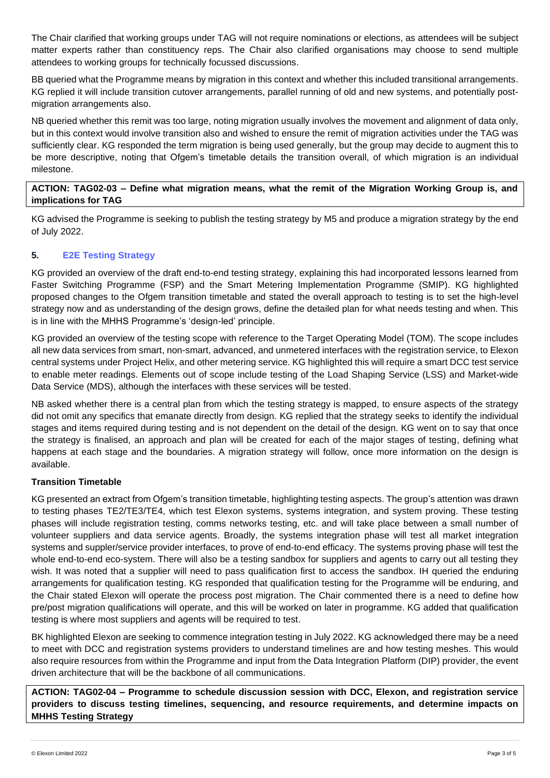The Chair clarified that working groups under TAG will not require nominations or elections, as attendees will be subject matter experts rather than constituency reps. The Chair also clarified organisations may choose to send multiple attendees to working groups for technically focussed discussions.

BB queried what the Programme means by migration in this context and whether this included transitional arrangements. KG replied it will include transition cutover arrangements, parallel running of old and new systems, and potentially postmigration arrangements also.

NB queried whether this remit was too large, noting migration usually involves the movement and alignment of data only, but in this context would involve transition also and wished to ensure the remit of migration activities under the TAG was sufficiently clear. KG responded the term migration is being used generally, but the group may decide to augment this to be more descriptive, noting that Ofgem's timetable details the transition overall, of which migration is an individual milestone.

# **ACTION: TAG02-03 – Define what migration means, what the remit of the Migration Working Group is, and implications for TAG**

KG advised the Programme is seeking to publish the testing strategy by M5 and produce a migration strategy by the end of July 2022.

# **5. E2E Testing Strategy**

KG provided an overview of the draft end-to-end testing strategy, explaining this had incorporated lessons learned from Faster Switching Programme (FSP) and the Smart Metering Implementation Programme (SMIP). KG highlighted proposed changes to the Ofgem transition timetable and stated the overall approach to testing is to set the high-level strategy now and as understanding of the design grows, define the detailed plan for what needs testing and when. This is in line with the MHHS Programme's 'design-led' principle.

KG provided an overview of the testing scope with reference to the Target Operating Model (TOM). The scope includes all new data services from smart, non-smart, advanced, and unmetered interfaces with the registration service, to Elexon central systems under Project Helix, and other metering service. KG highlighted this will require a smart DCC test service to enable meter readings. Elements out of scope include testing of the Load Shaping Service (LSS) and Market-wide Data Service (MDS), although the interfaces with these services will be tested.

NB asked whether there is a central plan from which the testing strategy is mapped, to ensure aspects of the strategy did not omit any specifics that emanate directly from design. KG replied that the strategy seeks to identify the individual stages and items required during testing and is not dependent on the detail of the design. KG went on to say that once the strategy is finalised, an approach and plan will be created for each of the major stages of testing, defining what happens at each stage and the boundaries. A migration strategy will follow, once more information on the design is available.

# **Transition Timetable**

KG presented an extract from Ofgem's transition timetable, highlighting testing aspects. The group's attention was drawn to testing phases TE2/TE3/TE4, which test Elexon systems, systems integration, and system proving. These testing phases will include registration testing, comms networks testing, etc. and will take place between a small number of volunteer suppliers and data service agents. Broadly, the systems integration phase will test all market integration systems and suppler/service provider interfaces, to prove of end-to-end efficacy. The systems proving phase will test the whole end-to-end eco-system. There will also be a testing sandbox for suppliers and agents to carry out all testing they wish. It was noted that a supplier will need to pass qualification first to access the sandbox. IH queried the enduring arrangements for qualification testing. KG responded that qualification testing for the Programme will be enduring, and the Chair stated Elexon will operate the process post migration. The Chair commented there is a need to define how pre/post migration qualifications will operate, and this will be worked on later in programme. KG added that qualification testing is where most suppliers and agents will be required to test.

BK highlighted Elexon are seeking to commence integration testing in July 2022. KG acknowledged there may be a need to meet with DCC and registration systems providers to understand timelines are and how testing meshes. This would also require resources from within the Programme and input from the Data Integration Platform (DIP) provider, the event driven architecture that will be the backbone of all communications.

**ACTION: TAG02-04 – Programme to schedule discussion session with DCC, Elexon, and registration service providers to discuss testing timelines, sequencing, and resource requirements, and determine impacts on MHHS Testing Strategy**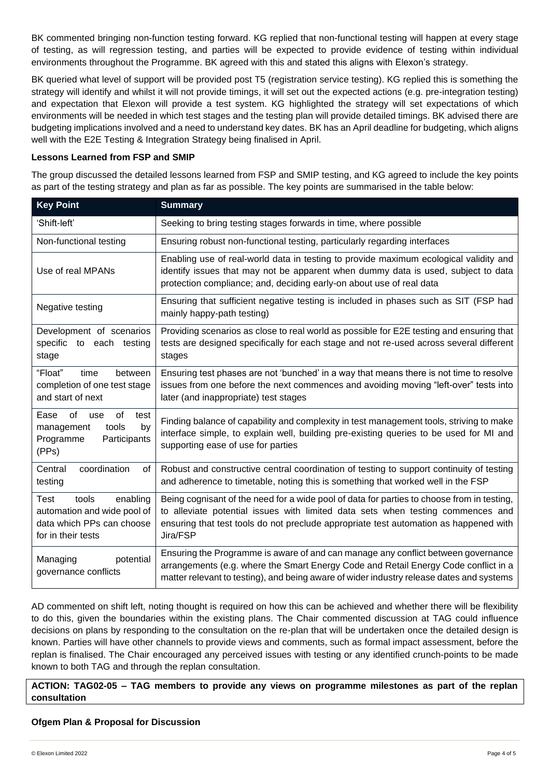BK commented bringing non-function testing forward. KG replied that non-functional testing will happen at every stage of testing, as will regression testing, and parties will be expected to provide evidence of testing within individual environments throughout the Programme. BK agreed with this and stated this aligns with Elexon's strategy.

BK queried what level of support will be provided post T5 (registration service testing). KG replied this is something the strategy will identify and whilst it will not provide timings, it will set out the expected actions (e.g. pre-integration testing) and expectation that Elexon will provide a test system. KG highlighted the strategy will set expectations of which environments will be needed in which test stages and the testing plan will provide detailed timings. BK advised there are budgeting implications involved and a need to understand key dates. BK has an April deadline for budgeting, which aligns well with the E2E Testing & Integration Strategy being finalised in April.

## **Lessons Learned from FSP and SMIP**

The group discussed the detailed lessons learned from FSP and SMIP testing, and KG agreed to include the key points as part of the testing strategy and plan as far as possible. The key points are summarised in the table below:

| <b>Key Point</b>                                                                                            | <b>Summary</b>                                                                                                                                                                                                                                                                     |
|-------------------------------------------------------------------------------------------------------------|------------------------------------------------------------------------------------------------------------------------------------------------------------------------------------------------------------------------------------------------------------------------------------|
| 'Shift-left'                                                                                                | Seeking to bring testing stages forwards in time, where possible                                                                                                                                                                                                                   |
| Non-functional testing                                                                                      | Ensuring robust non-functional testing, particularly regarding interfaces                                                                                                                                                                                                          |
| Use of real MPANs                                                                                           | Enabling use of real-world data in testing to provide maximum ecological validity and<br>identify issues that may not be apparent when dummy data is used, subject to data<br>protection compliance; and, deciding early-on about use of real data                                 |
| Negative testing                                                                                            | Ensuring that sufficient negative testing is included in phases such as SIT (FSP had<br>mainly happy-path testing)                                                                                                                                                                 |
| Development of scenarios<br>specific to each testing<br>stage                                               | Providing scenarios as close to real world as possible for E2E testing and ensuring that<br>tests are designed specifically for each stage and not re-used across several different<br>stages                                                                                      |
| "Float"<br>time<br>between<br>completion of one test stage<br>and start of next                             | Ensuring test phases are not 'bunched' in a way that means there is not time to resolve<br>issues from one before the next commences and avoiding moving "left-over" tests into<br>later (and inappropriate) test stages                                                           |
| Ease<br>of<br>of<br>use<br>test<br>tools<br>by<br>management<br>Programme<br>Participants<br>(PPs)          | Finding balance of capability and complexity in test management tools, striving to make<br>interface simple, to explain well, building pre-existing queries to be used for MI and<br>supporting ease of use for parties                                                            |
| coordination<br>Central<br>of<br>testing                                                                    | Robust and constructive central coordination of testing to support continuity of testing<br>and adherence to timetable, noting this is something that worked well in the FSP                                                                                                       |
| Test<br>tools<br>enabling<br>automation and wide pool of<br>data which PPs can choose<br>for in their tests | Being cognisant of the need for a wide pool of data for parties to choose from in testing,<br>to alleviate potential issues with limited data sets when testing commences and<br>ensuring that test tools do not preclude appropriate test automation as happened with<br>Jira/FSP |
| potential<br>Managing<br>governance conflicts                                                               | Ensuring the Programme is aware of and can manage any conflict between governance<br>arrangements (e.g. where the Smart Energy Code and Retail Energy Code conflict in a<br>matter relevant to testing), and being aware of wider industry release dates and systems               |

AD commented on shift left, noting thought is required on how this can be achieved and whether there will be flexibility to do this, given the boundaries within the existing plans. The Chair commented discussion at TAG could influence decisions on plans by responding to the consultation on the re-plan that will be undertaken once the detailed design is known. Parties will have other channels to provide views and comments, such as formal impact assessment, before the replan is finalised. The Chair encouraged any perceived issues with testing or any identified crunch-points to be made known to both TAG and through the replan consultation.

# **ACTION: TAG02-05 – TAG members to provide any views on programme milestones as part of the replan consultation**

## **Ofgem Plan & Proposal for Discussion**